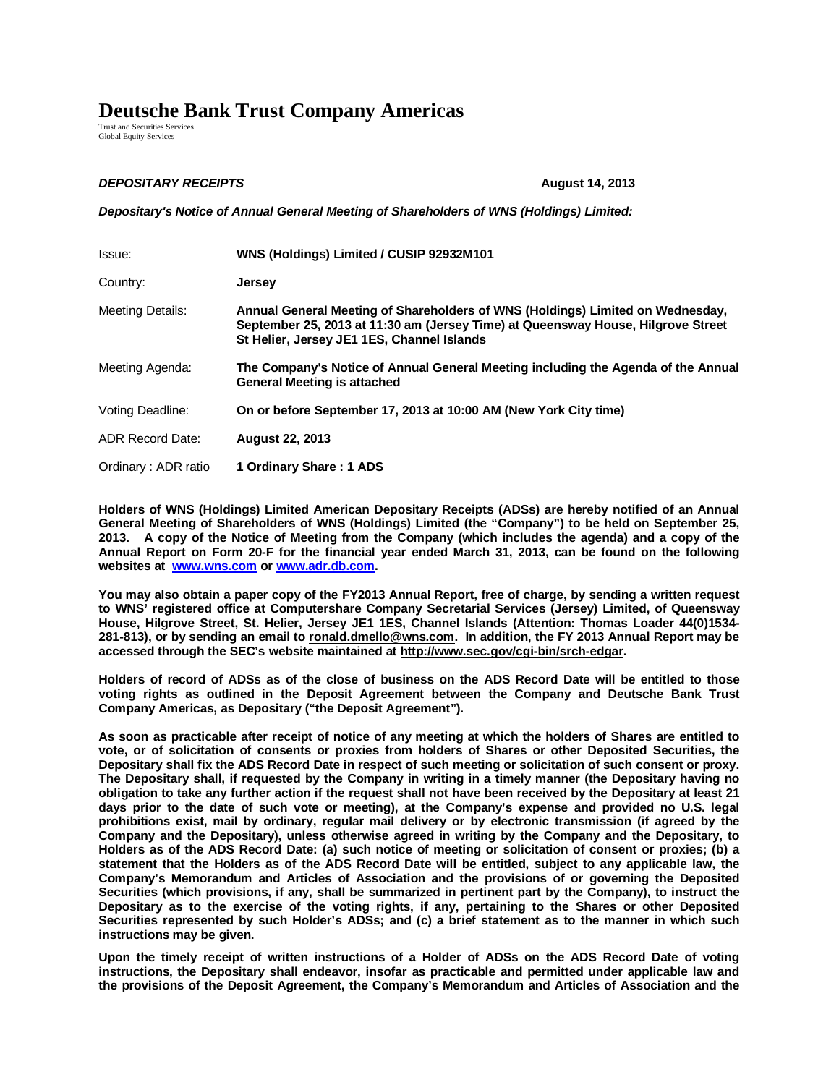## **Deutsche Bank Trust Company Americas**

Trust and Securities Services Global Equity Services

## **DEPOSITARY RECEIPTS** *August 14, 2013*

*Depositary's Notice of Annual General Meeting of Shareholders of WNS (Holdings) Limited:*

| Issue:                  | WNS (Holdings) Limited / CUSIP 92932M101                                                                                                                                                                         |
|-------------------------|------------------------------------------------------------------------------------------------------------------------------------------------------------------------------------------------------------------|
| Country:                | <b>Jersey</b>                                                                                                                                                                                                    |
| Meeting Details:        | Annual General Meeting of Shareholders of WNS (Holdings) Limited on Wednesday,<br>September 25, 2013 at 11:30 am (Jersey Time) at Queensway House, Hilgrove Street<br>St Helier, Jersey JE1 1ES, Channel Islands |
| Meeting Agenda:         | The Company's Notice of Annual General Meeting including the Agenda of the Annual<br><b>General Meeting is attached</b>                                                                                          |
| Voting Deadline:        | On or before September 17, 2013 at 10:00 AM (New York City time)                                                                                                                                                 |
| <b>ADR Record Date:</b> | <b>August 22, 2013</b>                                                                                                                                                                                           |
| Ordinary: ADR ratio     | 1 Ordinary Share: 1 ADS                                                                                                                                                                                          |

**Holders of WNS (Holdings) Limited American Depositary Receipts (ADSs) are hereby notified of an Annual General Meeting of Shareholders of WNS (Holdings) Limited (the "Company") to be held on September 25, 2013. A copy of the Notice of Meeting from the Company (which includes the agenda) and a copy of the Annual Report on Form 20-F for the financial year ended March 31, 2013, can be found on the following websites at www.wns.com or www.adr.db.com.** 

**You may also obtain a paper copy of the FY2013 Annual Report, free of charge, by sending a written request to WNS' registered office at Computershare Company Secretarial Services (Jersey) Limited, of Queensway House, Hilgrove Street, St. Helier, Jersey JE1 1ES, Channel Islands (Attention: Thomas Loader 44(0)1534- 281-813), or by sending an email to ronald.dmello@wns.com. In addition, the FY 2013 Annual Report may be accessed through the SEC's website maintained at http://www.sec.gov/cgi-bin/srch-edgar.** 

**Holders of record of ADSs as of the close of business on the ADS Record Date will be entitled to those voting rights as outlined in the Deposit Agreement between the Company and Deutsche Bank Trust Company Americas, as Depositary ("the Deposit Agreement").** 

**As soon as practicable after receipt of notice of any meeting at which the holders of Shares are entitled to vote, or of solicitation of consents or proxies from holders of Shares or other Deposited Securities, the Depositary shall fix the ADS Record Date in respect of such meeting or solicitation of such consent or proxy. The Depositary shall, if requested by the Company in writing in a timely manner (the Depositary having no obligation to take any further action if the request shall not have been received by the Depositary at least 21 days prior to the date of such vote or meeting), at the Company's expense and provided no U.S. legal prohibitions exist, mail by ordinary, regular mail delivery or by electronic transmission (if agreed by the Company and the Depositary), unless otherwise agreed in writing by the Company and the Depositary, to Holders as of the ADS Record Date: (a) such notice of meeting or solicitation of consent or proxies; (b) a statement that the Holders as of the ADS Record Date will be entitled, subject to any applicable law, the Company's Memorandum and Articles of Association and the provisions of or governing the Deposited Securities (which provisions, if any, shall be summarized in pertinent part by the Company), to instruct the Depositary as to the exercise of the voting rights, if any, pertaining to the Shares or other Deposited Securities represented by such Holder's ADSs; and (c) a brief statement as to the manner in which such instructions may be given.** 

**Upon the timely receipt of written instructions of a Holder of ADSs on the ADS Record Date of voting instructions, the Depositary shall endeavor, insofar as practicable and permitted under applicable law and the provisions of the Deposit Agreement, the Company's Memorandum and Articles of Association and the**